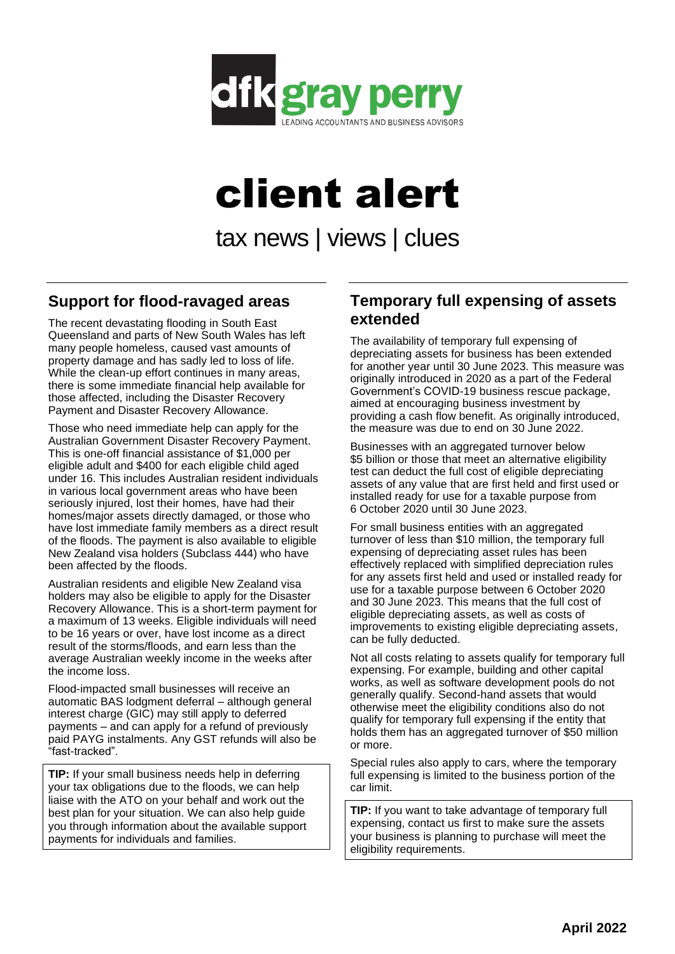

# client alert

tax news | views | clues

## **Support for flood-ravaged areas**

The recent devastating flooding in South East Queensland and parts of New South Wales has left many people homeless, caused vast amounts of property damage and has sadly led to loss of life. While the clean-up effort continues in many areas, there is some immediate financial help available for those affected, including the Disaster Recovery Payment and Disaster Recovery Allowance.

Those who need immediate help can apply for the Australian Government Disaster Recovery Payment. This is one-off financial assistance of \$1,000 per eligible adult and \$400 for each eligible child aged under 16. This includes Australian resident individuals in various local government areas who have been seriously injured, lost their homes, have had their homes/major assets directly damaged, or those who have lost immediate family members as a direct result of the floods. The payment is also available to eligible New Zealand visa holders (Subclass 444) who have been affected by the floods.

Australian residents and eligible New Zealand visa holders may also be eligible to apply for the Disaster Recovery Allowance. This is a short-term payment for a maximum of 13 weeks. Eligible individuals will need to be 16 years or over, have lost income as a direct result of the storms/floods, and earn less than the average Australian weekly income in the weeks after the income loss.

Flood-impacted small businesses will receive an automatic BAS lodgment deferral – although general interest charge (GIC) may still apply to deferred payments – and can apply for a refund of previously paid PAYG instalments. Any GST refunds will also be "fast-tracked".

**TIP:** If your small business needs help in deferring your tax obligations due to the floods, we can help liaise with the ATO on your behalf and work out the best plan for your situation. We can also help guide you through information about the available support payments for individuals and families.

### **Temporary full expensing of assets extended**

The availability of temporary full expensing of depreciating assets for business has been extended for another year until 30 June 2023. This measure was originally introduced in 2020 as a part of the Federal Government's COVID-19 business rescue package, aimed at encouraging business investment by providing a cash flow benefit. As originally introduced, the measure was due to end on 30 June 2022.

Businesses with an aggregated turnover below \$5 billion or those that meet an alternative eligibility test can deduct the full cost of eligible depreciating assets of any value that are first held and first used or installed ready for use for a taxable purpose from 6 October 2020 until 30 June 2023.

For small business entities with an aggregated turnover of less than \$10 million, the temporary full expensing of depreciating asset rules has been effectively replaced with simplified depreciation rules for any assets first held and used or installed ready for use for a taxable purpose between 6 October 2020 and 30 June 2023. This means that the full cost of eligible depreciating assets, as well as costs of improvements to existing eligible depreciating assets, can be fully deducted.

Not all costs relating to assets qualify for temporary full expensing. For example, building and other capital works, as well as software development pools do not generally qualify. Second-hand assets that would otherwise meet the eligibility conditions also do not qualify for temporary full expensing if the entity that holds them has an aggregated turnover of \$50 million or more.

Special rules also apply to cars, where the temporary full expensing is limited to the business portion of the car limit.

**TIP:** If you want to take advantage of temporary full expensing, contact us first to make sure the assets your business is planning to purchase will meet the eligibility requirements.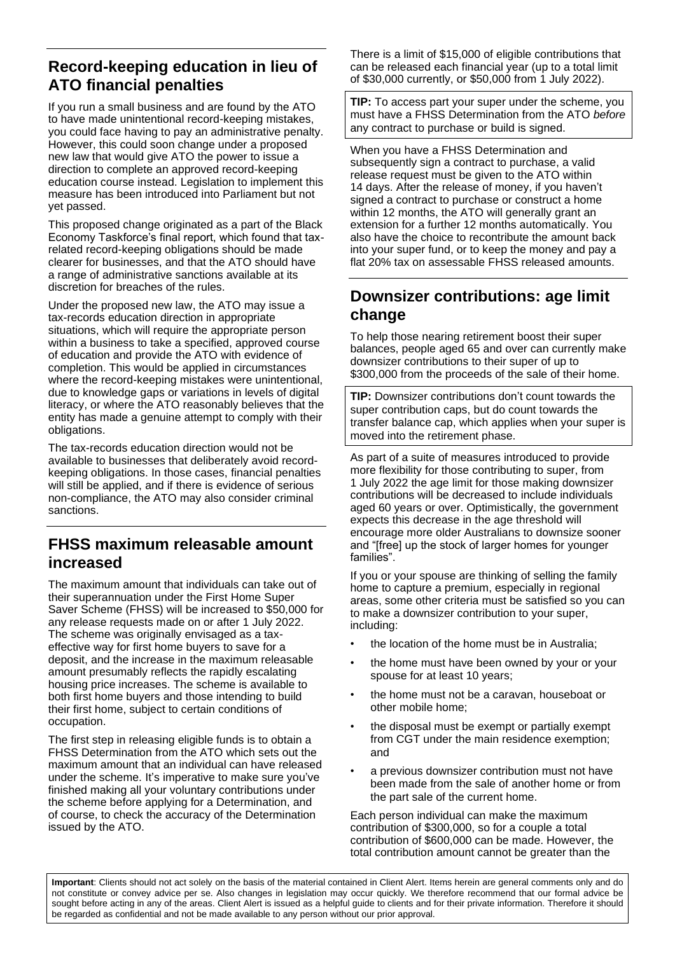# **Record-keeping education in lieu of ATO financial penalties**

If you run a small business and are found by the ATO to have made unintentional record-keeping mistakes, you could face having to pay an administrative penalty. However, this could soon change under a proposed new law that would give ATO the power to issue a direction to complete an approved record-keeping education course instead. Legislation to implement this measure has been introduced into Parliament but not yet passed.

This proposed change originated as a part of the Black Economy Taskforce's final report, which found that taxrelated record-keeping obligations should be made clearer for businesses, and that the ATO should have a range of administrative sanctions available at its discretion for breaches of the rules.

Under the proposed new law, the ATO may issue a tax-records education direction in appropriate situations, which will require the appropriate person within a business to take a specified, approved course of education and provide the ATO with evidence of completion. This would be applied in circumstances where the record-keeping mistakes were unintentional, due to knowledge gaps or variations in levels of digital literacy, or where the ATO reasonably believes that the entity has made a genuine attempt to comply with their obligations.

The tax-records education direction would not be available to businesses that deliberately avoid recordkeeping obligations. In those cases, financial penalties will still be applied, and if there is evidence of serious non-compliance, the ATO may also consider criminal sanctions.

## **FHSS maximum releasable amount increased**

The maximum amount that individuals can take out of their superannuation under the First Home Super Saver Scheme (FHSS) will be increased to \$50,000 for any release requests made on or after 1 July 2022. The scheme was originally envisaged as a taxeffective way for first home buyers to save for a deposit, and the increase in the maximum releasable amount presumably reflects the rapidly escalating housing price increases. The scheme is available to both first home buyers and those intending to build their first home, subject to certain conditions of occupation.

The first step in releasing eligible funds is to obtain a FHSS Determination from the ATO which sets out the maximum amount that an individual can have released under the scheme. It's imperative to make sure you've finished making all your voluntary contributions under the scheme before applying for a Determination, and of course, to check the accuracy of the Determination issued by the ATO.

There is a limit of \$15,000 of eligible contributions that can be released each financial year (up to a total limit of \$30,000 currently, or \$50,000 from 1 July 2022).

**TIP:** To access part your super under the scheme, you must have a FHSS Determination from the ATO *before* any contract to purchase or build is signed.

When you have a FHSS Determination and subsequently sign a contract to purchase, a valid release request must be given to the ATO within 14 days. After the release of money, if you haven't signed a contract to purchase or construct a home within 12 months, the ATO will generally grant an extension for a further 12 months automatically. You also have the choice to recontribute the amount back into your super fund, or to keep the money and pay a flat 20% tax on assessable FHSS released amounts.

## **Downsizer contributions: age limit change**

To help those nearing retirement boost their super balances, people aged 65 and over can currently make downsizer contributions to their super of up to \$300,000 from the proceeds of the sale of their home.

**TIP:** Downsizer contributions don't count towards the super contribution caps, but do count towards the transfer balance cap, which applies when your super is moved into the retirement phase.

As part of a suite of measures introduced to provide more flexibility for those contributing to super, from 1 July 2022 the age limit for those making downsizer contributions will be decreased to include individuals aged 60 years or over. Optimistically, the government expects this decrease in the age threshold will encourage more older Australians to downsize sooner and "[free] up the stock of larger homes for younger families".

If you or your spouse are thinking of selling the family home to capture a premium, especially in regional areas, some other criteria must be satisfied so you can to make a downsizer contribution to your super, including:

- the location of the home must be in Australia;
- the home must have been owned by your or your spouse for at least 10 years;
- the home must not be a caravan, houseboat or other mobile home;
- the disposal must be exempt or partially exempt from CGT under the main residence exemption; and
- a previous downsizer contribution must not have been made from the sale of another home or from the part sale of the current home.

Each person individual can make the maximum contribution of \$300,000, so for a couple a total contribution of \$600,000 can be made. However, the total contribution amount cannot be greater than the

**Important**: Clients should not act solely on the basis of the material contained in Client Alert. Items herein are general comments only and do not constitute or convey advice per se. Also changes in legislation may occur quickly. We therefore recommend that our formal advice be sought before acting in any of the areas. Client Alert is issued as a helpful quide to clients and for their private information. Therefore it should be regarded as confidential and not be made available to any person without our prior approval.